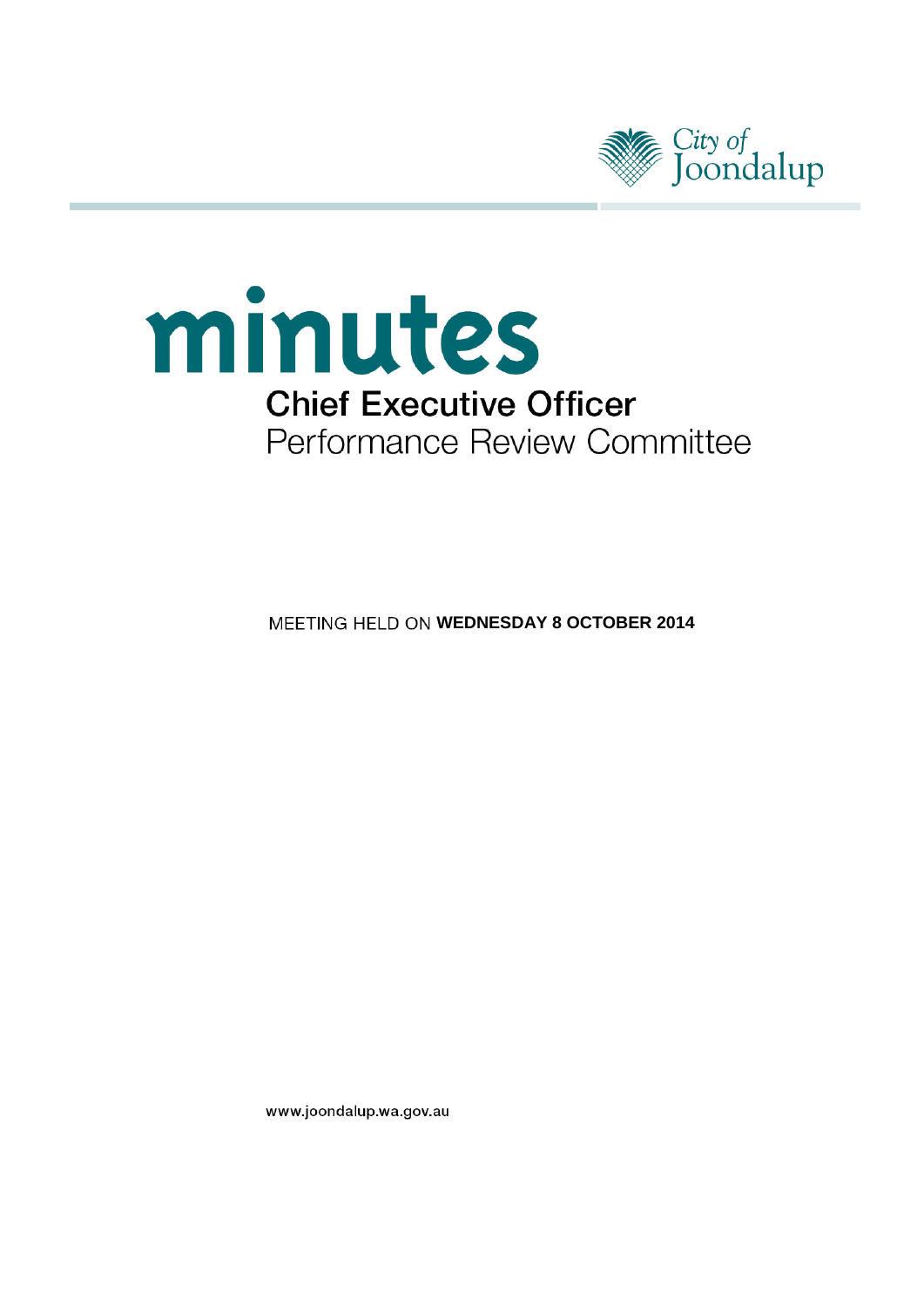



**MEETING HELD ON WEDNESDAY 8 OCTOBER 2014** 

www.joondalup.wa.gov.au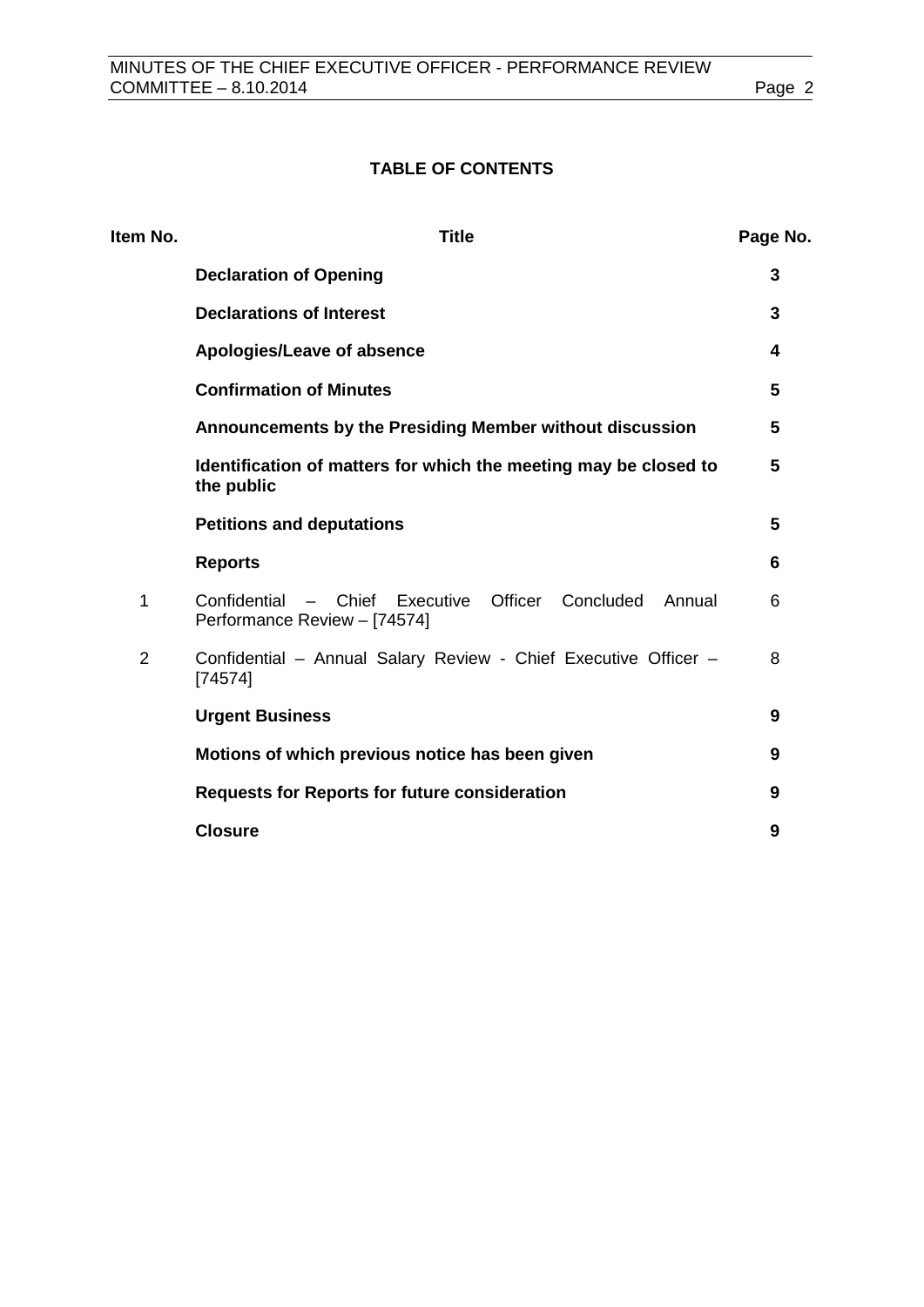## **TABLE OF CONTENTS**

| Item No.       | <b>Title</b>                                                                                        | Page No. |
|----------------|-----------------------------------------------------------------------------------------------------|----------|
|                | <b>Declaration of Opening</b>                                                                       | 3        |
|                | <b>Declarations of Interest</b>                                                                     | 3        |
|                | Apologies/Leave of absence                                                                          | 4        |
|                | <b>Confirmation of Minutes</b>                                                                      | 5        |
|                | Announcements by the Presiding Member without discussion                                            | 5        |
|                | Identification of matters for which the meeting may be closed to<br>the public                      | 5        |
|                | <b>Petitions and deputations</b>                                                                    | 5        |
|                | <b>Reports</b>                                                                                      | 6        |
| 1              | - Chief Executive<br>Officer<br>Confidential<br>Concluded<br>Annual<br>Performance Review - [74574] | 6        |
| $\overline{2}$ | Confidential - Annual Salary Review - Chief Executive Officer -<br>[74574]                          | 8        |
|                | <b>Urgent Business</b>                                                                              | 9        |
|                | Motions of which previous notice has been given                                                     | 9        |
|                | <b>Requests for Reports for future consideration</b>                                                | 9        |
|                | <b>Closure</b>                                                                                      | 9        |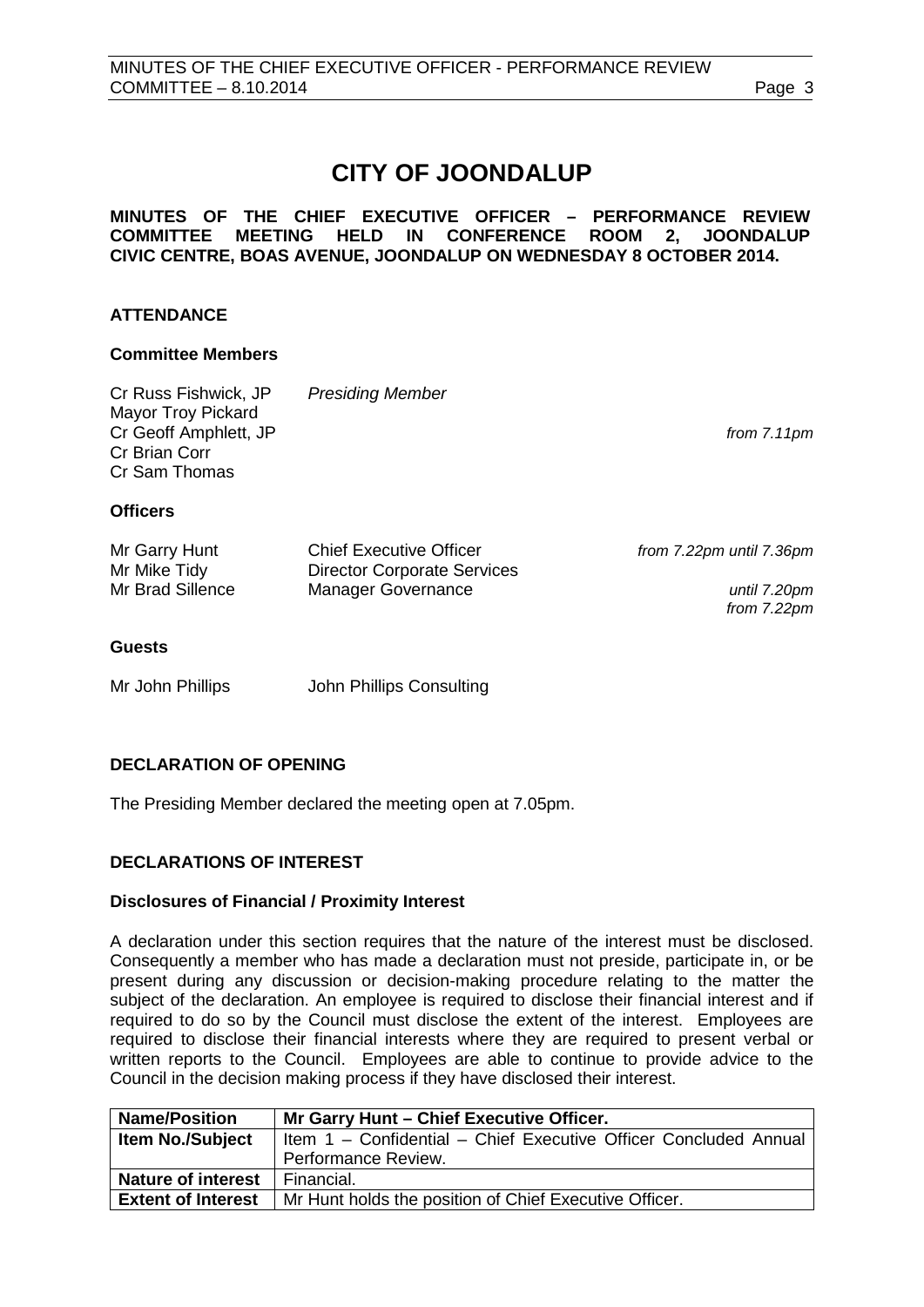*from 7.22pm*

# **CITY OF JOONDALUP**

#### **MINUTES OF THE CHIEF EXECUTIVE OFFICER – PERFORMANCE REVIEW COMMITTEE MEETING HELD IN CONFERENCE ROOM 2, JOONDALUP CIVIC CENTRE, BOAS AVENUE, JOONDALUP ON WEDNESDAY 8 OCTOBER 2014.**

## **ATTENDANCE**

#### **Committee Members**

| Cr Russ Fishwick, JP<br><b>Mayor Troy Pickard</b><br>Cr Geoff Amphlett, JP<br>Cr Brian Corr<br>Cr Sam Thomas | <b>Presiding Member</b>            | from $7.11$ pm           |
|--------------------------------------------------------------------------------------------------------------|------------------------------------|--------------------------|
| <b>Officers</b>                                                                                              |                                    |                          |
| Mr Garry Hunt                                                                                                | <b>Chief Executive Officer</b>     | from 7.22pm until 7.36pm |
| Mr Mike Tidy                                                                                                 | <b>Director Corporate Services</b> |                          |
| Mr Brad Sillence                                                                                             | <b>Manager Governance</b>          | until 7.20pm             |

**Guests**

Mr John Phillips John Phillips Consulting

## <span id="page-2-0"></span>**DECLARATION OF OPENING**

The Presiding Member declared the meeting open at 7.05pm.

## <span id="page-2-1"></span>**DECLARATIONS OF INTEREST**

## **Disclosures of Financial / Proximity Interest**

A declaration under this section requires that the nature of the interest must be disclosed. Consequently a member who has made a declaration must not preside, participate in, or be present during any discussion or decision-making procedure relating to the matter the subject of the declaration. An employee is required to disclose their financial interest and if required to do so by the Council must disclose the extent of the interest. Employees are required to disclose their financial interests where they are required to present verbal or written reports to the Council. Employees are able to continue to provide advice to the Council in the decision making process if they have disclosed their interest.

| <b>Name/Position</b>      | Mr Garry Hunt - Chief Executive Officer.                         |  |
|---------------------------|------------------------------------------------------------------|--|
| <b>Item No./Subject</b>   | Item 1 - Confidential - Chief Executive Officer Concluded Annual |  |
|                           | Performance Review.                                              |  |
| <b>Nature of interest</b> | Financial.                                                       |  |
| <b>Extent of Interest</b> | Mr Hunt holds the position of Chief Executive Officer.           |  |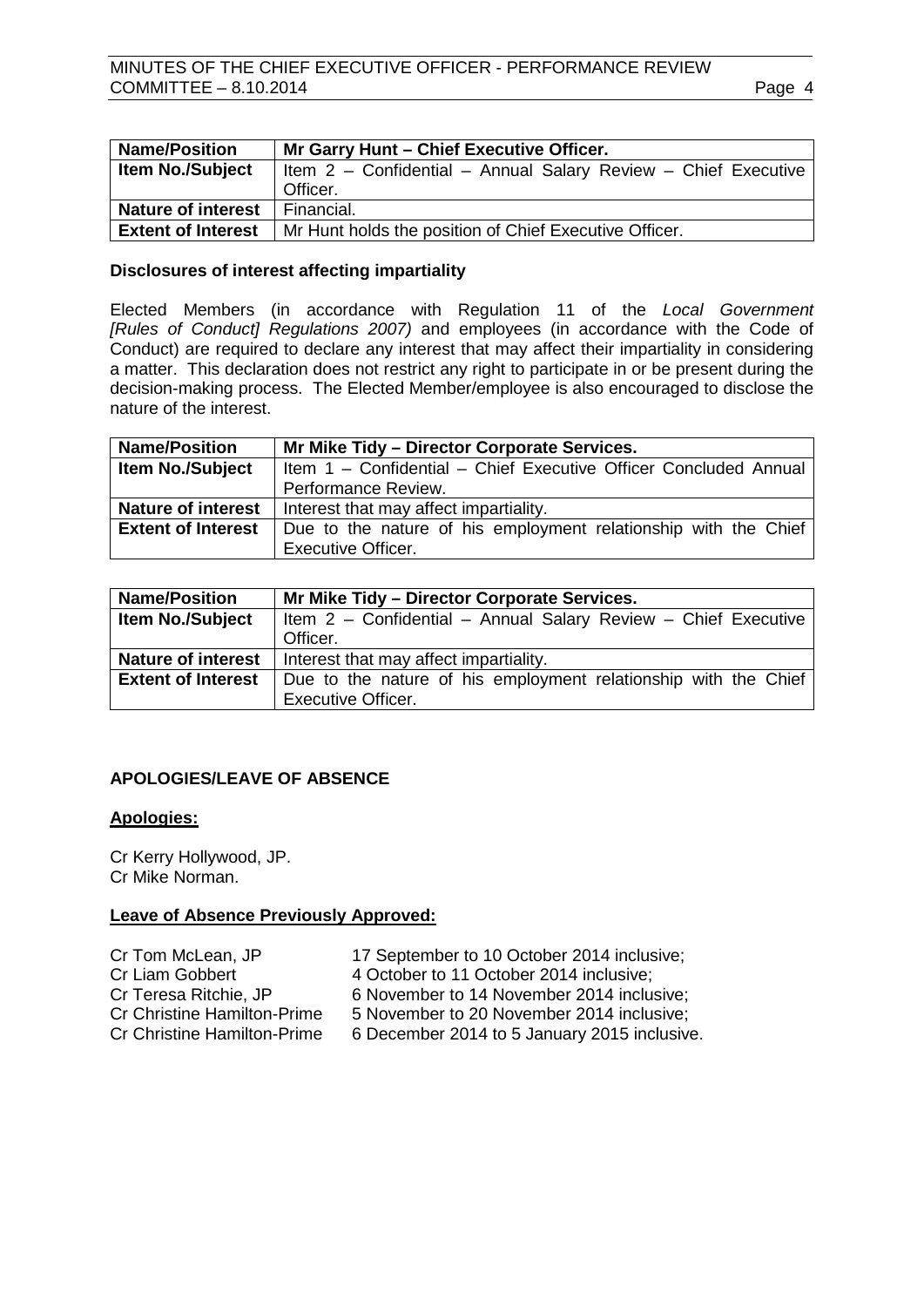| <b>Name/Position</b>      | Mr Garry Hunt - Chief Executive Officer.                       |  |
|---------------------------|----------------------------------------------------------------|--|
| <b>Item No./Subject</b>   | Item 2 - Confidential - Annual Salary Review - Chief Executive |  |
|                           | Officer.                                                       |  |
| <b>Nature of interest</b> | Financial.                                                     |  |
| <b>Extent of Interest</b> | Mr Hunt holds the position of Chief Executive Officer.         |  |

#### **Disclosures of interest affecting impartiality**

Elected Members (in accordance with Regulation 11 of the *Local Government [Rules of Conduct] Regulations 2007)* and employees (in accordance with the Code of Conduct) are required to declare any interest that may affect their impartiality in considering a matter. This declaration does not restrict any right to participate in or be present during the decision-making process. The Elected Member/employee is also encouraged to disclose the nature of the interest.

| <b>Name/Position</b>      | Mr Mike Tidy - Director Corporate Services.                      |
|---------------------------|------------------------------------------------------------------|
| <b>Item No./Subject</b>   | Item 1 - Confidential - Chief Executive Officer Concluded Annual |
|                           | Performance Review.                                              |
| <b>Nature of interest</b> | Interest that may affect impartiality.                           |
| <b>Extent of Interest</b> | Due to the nature of his employment relationship with the Chief  |
|                           | <b>Executive Officer.</b>                                        |

| <b>Name/Position</b>      | Mr Mike Tidy - Director Corporate Services.                     |
|---------------------------|-----------------------------------------------------------------|
| <b>Item No./Subject</b>   | Item 2 - Confidential - Annual Salary Review - Chief Executive  |
|                           | Officer.                                                        |
| <b>Nature of interest</b> | Interest that may affect impartiality.                          |
| <b>Extent of Interest</b> | Due to the nature of his employment relationship with the Chief |
|                           | <b>Executive Officer.</b>                                       |

## <span id="page-3-0"></span>**APOLOGIES/LEAVE OF ABSENCE**

#### **Apologies:**

Cr Kerry Hollywood, JP. Cr Mike Norman.

#### **Leave of Absence Previously Approved:**

| Cr Tom McLean, JP           | 17 September to 10 October 2014 inclusive;   |
|-----------------------------|----------------------------------------------|
| Cr Liam Gobbert             | 4 October to 11 October 2014 inclusive;      |
| Cr Teresa Ritchie, JP       | 6 November to 14 November 2014 inclusive:    |
| Cr Christine Hamilton-Prime | 5 November to 20 November 2014 inclusive;    |
| Cr Christine Hamilton-Prime | 6 December 2014 to 5 January 2015 inclusive. |
|                             |                                              |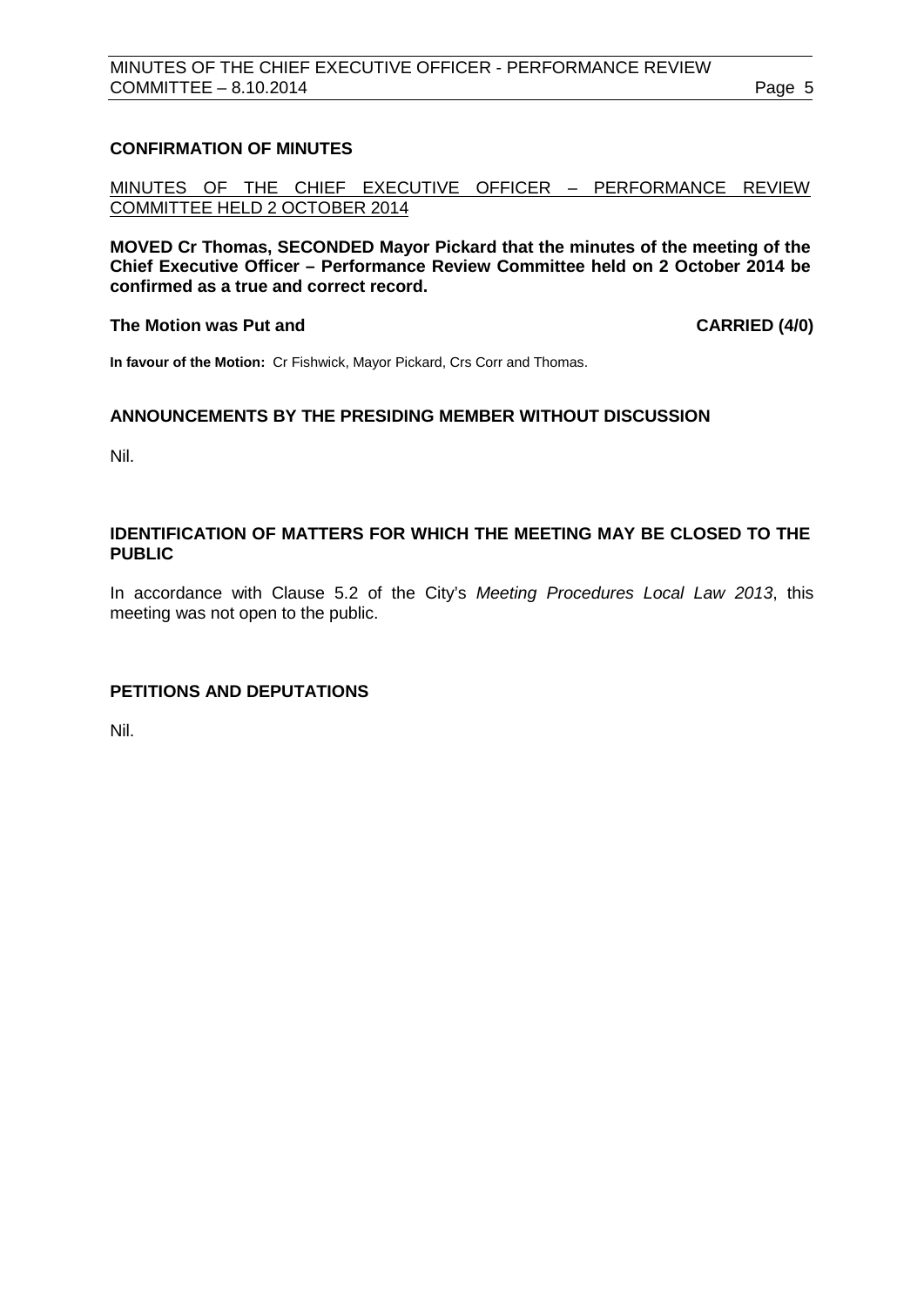## <span id="page-4-0"></span>**CONFIRMATION OF MINUTES**

MINUTES OF THE CHIEF EXECUTIVE OFFICER – PERFORMANCE REVIEW COMMITTEE HELD 2 OCTOBER 2014

**MOVED Cr Thomas, SECONDED Mayor Pickard that the minutes of the meeting of the Chief Executive Officer – Performance Review Committee held on 2 October 2014 be confirmed as a true and correct record.**

#### **The Motion was Put and CARRIED (4/0)**

**In favour of the Motion:** Cr Fishwick, Mayor Pickard, Crs Corr and Thomas.

#### <span id="page-4-1"></span>**ANNOUNCEMENTS BY THE PRESIDING MEMBER WITHOUT DISCUSSION**

Nil.

#### <span id="page-4-2"></span>**IDENTIFICATION OF MATTERS FOR WHICH THE MEETING MAY BE CLOSED TO THE PUBLIC**

In accordance with Clause 5.2 of the City's *Meeting Procedures Local Law 2013*, this meeting was not open to the public.

## <span id="page-4-3"></span>**PETITIONS AND DEPUTATIONS**

Nil.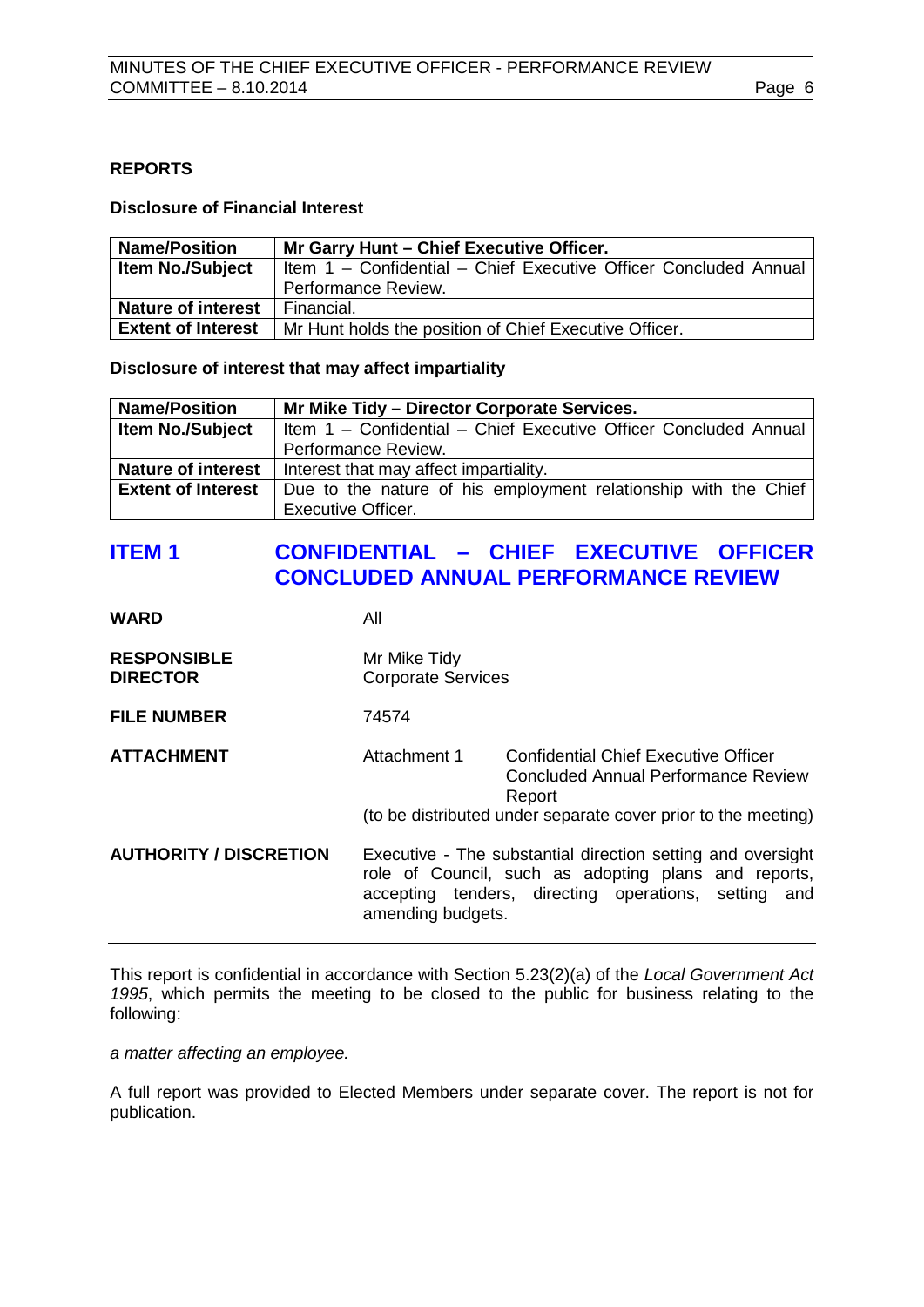## <span id="page-5-0"></span>**REPORTS**

#### **Disclosure of Financial Interest**

| <b>Name/Position</b>      | Mr Garry Hunt - Chief Executive Officer.                         |
|---------------------------|------------------------------------------------------------------|
| <b>Item No./Subject</b>   | Item 1 - Confidential - Chief Executive Officer Concluded Annual |
|                           | Performance Review.                                              |
| <b>Nature of interest</b> | Financial.                                                       |
| <b>Extent of Interest</b> | Mr Hunt holds the position of Chief Executive Officer.           |

**Disclosure of interest that may affect impartiality**

| <b>Name/Position</b>      | Mr Mike Tidy - Director Corporate Services.                      |
|---------------------------|------------------------------------------------------------------|
| <b>Item No./Subject</b>   | Item 1 - Confidential - Chief Executive Officer Concluded Annual |
|                           | Performance Review.                                              |
| <b>Nature of interest</b> | Interest that may affect impartiality.                           |
| <b>Extent of Interest</b> | Due to the nature of his employment relationship with the Chief  |
|                           | <b>Executive Officer.</b>                                        |

## <span id="page-5-1"></span>**ITEM 1 CONFIDENTIAL – CHIEF EXECUTIVE OFFICER CONCLUDED ANNUAL PERFORMANCE REVIEW**

| <b>WARD</b>                           | All                                                                                                                                                                                                                                                               |                                                                                              |
|---------------------------------------|-------------------------------------------------------------------------------------------------------------------------------------------------------------------------------------------------------------------------------------------------------------------|----------------------------------------------------------------------------------------------|
| <b>RESPONSIBLE</b><br><b>DIRECTOR</b> | Mr Mike Tidy<br><b>Corporate Services</b>                                                                                                                                                                                                                         |                                                                                              |
| <b>FILE NUMBER</b>                    | 74574                                                                                                                                                                                                                                                             |                                                                                              |
| <b>ATTACHMENT</b>                     | Attachment 1                                                                                                                                                                                                                                                      | <b>Confidential Chief Executive Officer</b><br>Concluded Annual Performance Review<br>Report |
| <b>AUTHORITY / DISCRETION</b>         | (to be distributed under separate cover prior to the meeting)<br>Executive - The substantial direction setting and oversight<br>role of Council, such as adopting plans and reports,<br>accepting tenders, directing operations, setting and<br>amending budgets. |                                                                                              |

This report is confidential in accordance with Section 5.23(2)(a) of the *Local Government Act 1995*, which permits the meeting to be closed to the public for business relating to the following:

*a matter affecting an employee.*

A full report was provided to Elected Members under separate cover. The report is not for publication.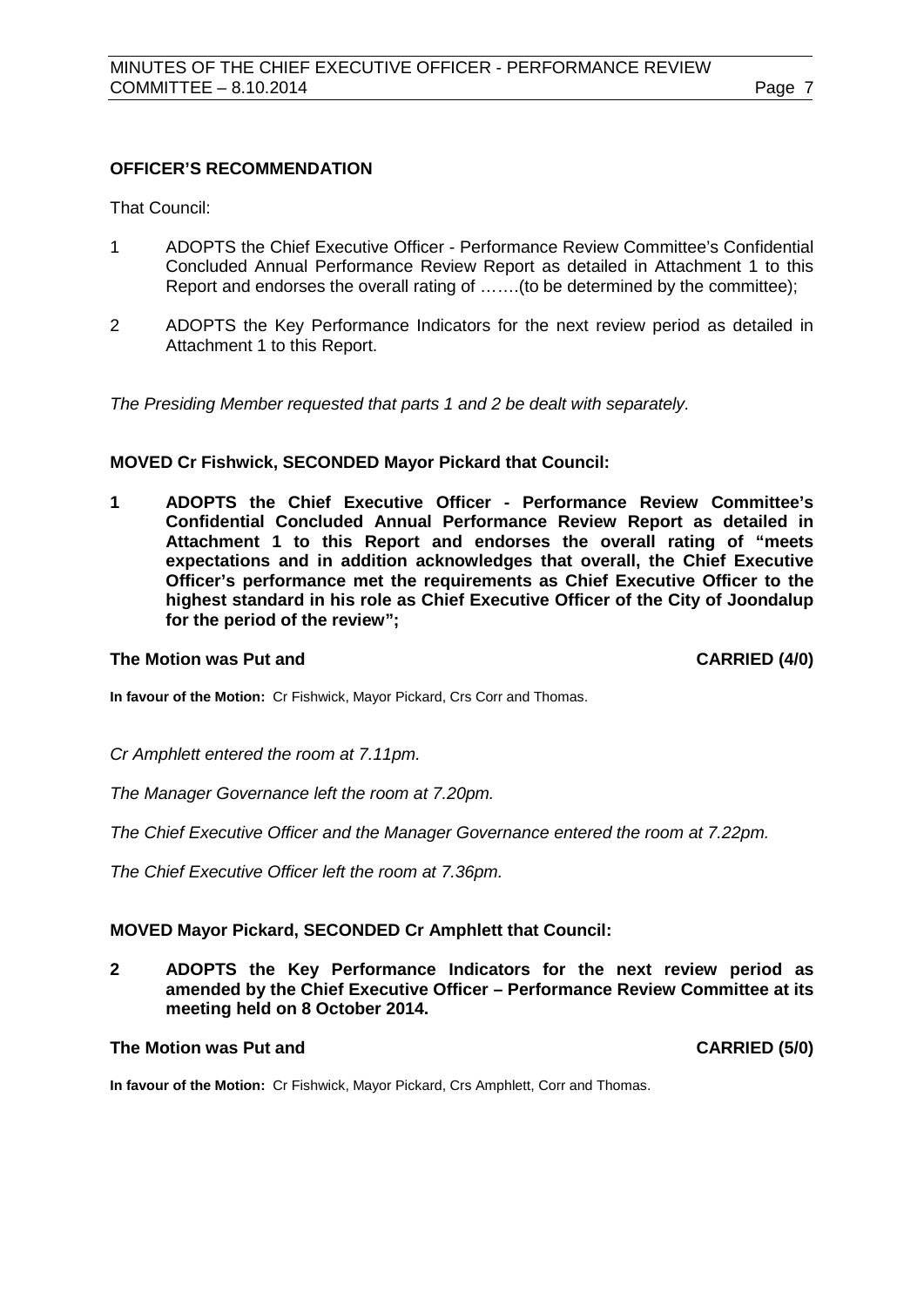#### **OFFICER'S RECOMMENDATION**

That Council:

- 1 ADOPTS the Chief Executive Officer Performance Review Committee's Confidential Concluded Annual Performance Review Report as detailed in Attachment 1 to this Report and endorses the overall rating of …….(to be determined by the committee);
- 2 ADOPTS the Key Performance Indicators for the next review period as detailed in Attachment 1 to this Report.

*The Presiding Member requested that parts 1 and 2 be dealt with separately.*

#### **MOVED Cr Fishwick, SECONDED Mayor Pickard that Council:**

**1 ADOPTS the Chief Executive Officer - Performance Review Committee's Confidential Concluded Annual Performance Review Report as detailed in Attachment 1 to this Report and endorses the overall rating of "meets expectations and in addition acknowledges that overall, the Chief Executive Officer's performance met the requirements as Chief Executive Officer to the highest standard in his role as Chief Executive Officer of the City of Joondalup for the period of the review";**

#### **The Motion was Put and CARRIED (4/0)**

**In favour of the Motion:** Cr Fishwick, Mayor Pickard, Crs Corr and Thomas.

*Cr Amphlett entered the room at 7.11pm.*

*The Manager Governance left the room at 7.20pm.*

*The Chief Executive Officer and the Manager Governance entered the room at 7.22pm.*

*The Chief Executive Officer left the room at 7.36pm.*

#### **MOVED Mayor Pickard, SECONDED Cr Amphlett that Council:**

**2 ADOPTS the Key Performance Indicators for the next review period as amended by the Chief Executive Officer – Performance Review Committee at its meeting held on 8 October 2014.**

## **The Motion was Put and CARRIED (5/0)**

**In favour of the Motion:** Cr Fishwick, Mayor Pickard, Crs Amphlett, Corr and Thomas.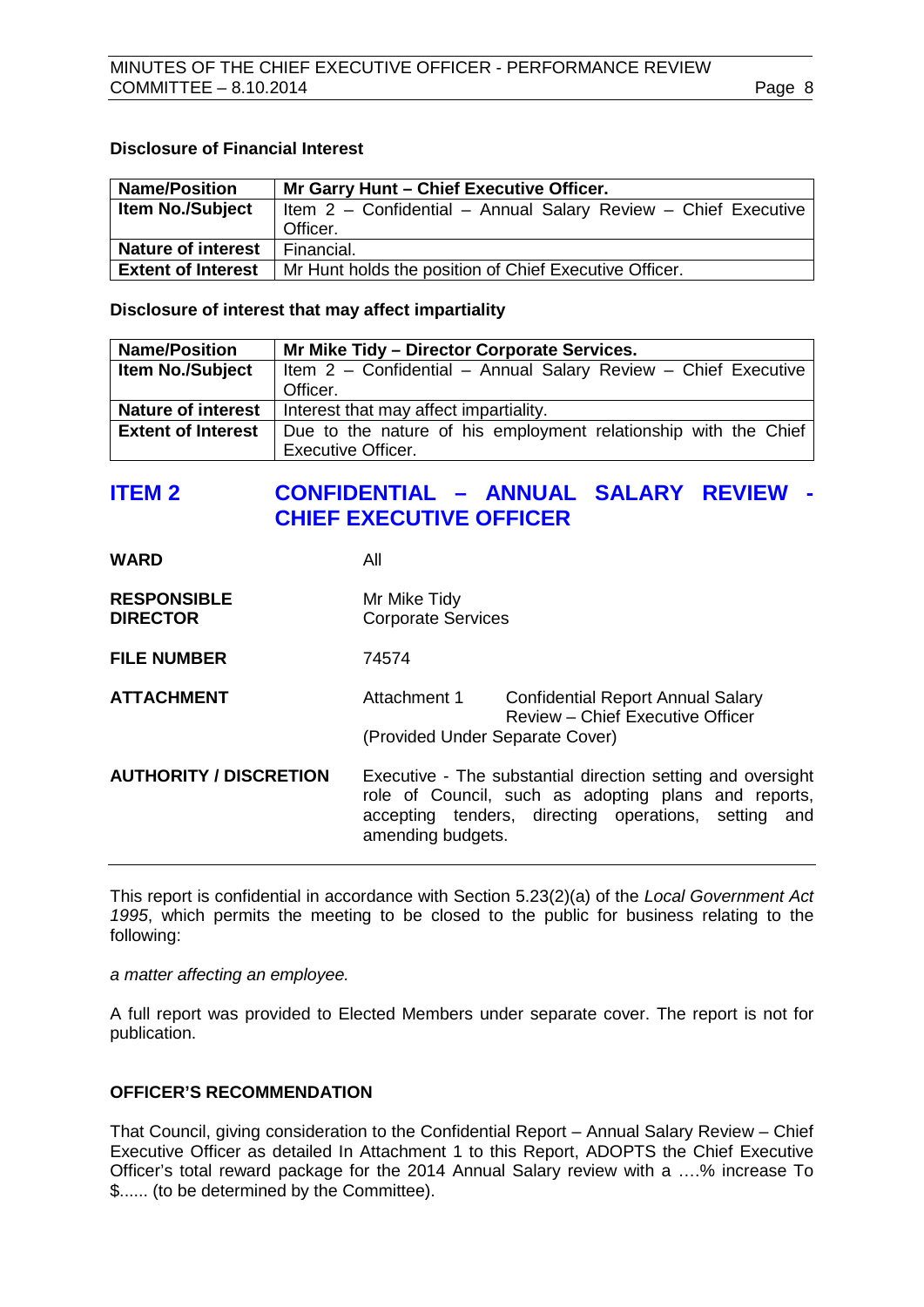#### **Disclosure of Financial Interest**

| <b>Name/Position</b>      | Mr Garry Hunt - Chief Executive Officer.                       |  |
|---------------------------|----------------------------------------------------------------|--|
| <b>Item No./Subject</b>   | Item 2 - Confidential - Annual Salary Review - Chief Executive |  |
|                           | Officer.                                                       |  |
| <b>Nature of interest</b> | Financial.                                                     |  |
| <b>Extent of Interest</b> | Mr Hunt holds the position of Chief Executive Officer.         |  |

**Disclosure of interest that may affect impartiality**

| <b>Name/Position</b>      | Mr Mike Tidy - Director Corporate Services.                     |
|---------------------------|-----------------------------------------------------------------|
| <b>Item No./Subject</b>   | Item 2 - Confidential - Annual Salary Review - Chief Executive  |
|                           | Officer.                                                        |
| <b>Nature of interest</b> | Interest that may affect impartiality.                          |
| <b>Extent of Interest</b> | Due to the nature of his employment relationship with the Chief |
|                           | <b>Executive Officer.</b>                                       |

## <span id="page-7-0"></span>**ITEM 2 CONFIDENTIAL – ANNUAL SALARY REVIEW - CHIEF EXECUTIVE OFFICER**

| <b>WARD</b>                           | All                                       |                                                                                                                                                                             |
|---------------------------------------|-------------------------------------------|-----------------------------------------------------------------------------------------------------------------------------------------------------------------------------|
| <b>RESPONSIBLE</b><br><b>DIRECTOR</b> | Mr Mike Tidy<br><b>Corporate Services</b> |                                                                                                                                                                             |
| <b>FILE NUMBER</b>                    | 74574                                     |                                                                                                                                                                             |
| <b>ATTACHMENT</b>                     | Attachment 1                              | <b>Confidential Report Annual Salary</b><br><b>Review - Chief Executive Officer</b>                                                                                         |
|                                       | (Provided Under Separate Cover)           |                                                                                                                                                                             |
| <b>AUTHORITY / DISCRETION</b>         | amending budgets.                         | Executive - The substantial direction setting and oversight<br>role of Council, such as adopting plans and reports,<br>accepting tenders, directing operations, setting and |

This report is confidential in accordance with Section 5.23(2)(a) of the *Local Government Act 1995*, which permits the meeting to be closed to the public for business relating to the following:

*a matter affecting an employee.*

A full report was provided to Elected Members under separate cover. The report is not for publication.

## **OFFICER'S RECOMMENDATION**

That Council, giving consideration to the Confidential Report – Annual Salary Review – Chief Executive Officer as detailed In Attachment 1 to this Report, ADOPTS the Chief Executive Officer's total reward package for the 2014 Annual Salary review with a ….% increase To \$...... (to be determined by the Committee).